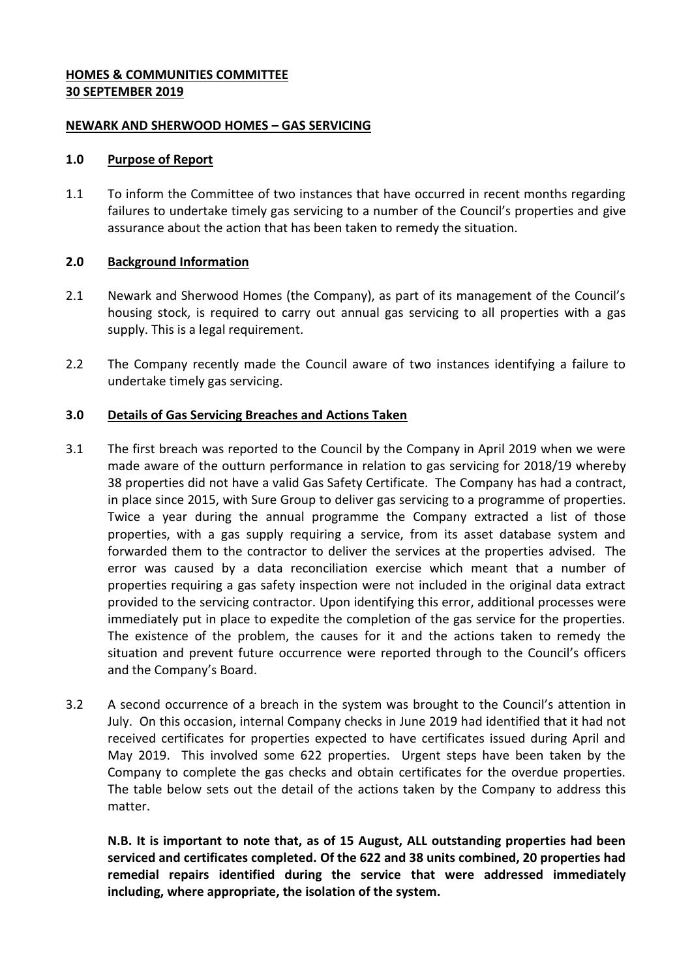### **HOMES & COMMUNITIES COMMITTEE 30 SEPTEMBER 2019**

### **NEWARK AND SHERWOOD HOMES – GAS SERVICING**

#### **1.0 Purpose of Report**

1.1 To inform the Committee of two instances that have occurred in recent months regarding failures to undertake timely gas servicing to a number of the Council's properties and give assurance about the action that has been taken to remedy the situation.

# **2.0 Background Information**

- 2.1 Newark and Sherwood Homes (the Company), as part of its management of the Council's housing stock, is required to carry out annual gas servicing to all properties with a gas supply. This is a legal requirement.
- 2.2 The Company recently made the Council aware of two instances identifying a failure to undertake timely gas servicing.

# **3.0 Details of Gas Servicing Breaches and Actions Taken**

- 3.1 The first breach was reported to the Council by the Company in April 2019 when we were made aware of the outturn performance in relation to gas servicing for 2018/19 whereby 38 properties did not have a valid Gas Safety Certificate. The Company has had a contract, in place since 2015, with Sure Group to deliver gas servicing to a programme of properties. Twice a year during the annual programme the Company extracted a list of those properties, with a gas supply requiring a service, from its asset database system and forwarded them to the contractor to deliver the services at the properties advised. The error was caused by a data reconciliation exercise which meant that a number of properties requiring a gas safety inspection were not included in the original data extract provided to the servicing contractor. Upon identifying this error, additional processes were immediately put in place to expedite the completion of the gas service for the properties. The existence of the problem, the causes for it and the actions taken to remedy the situation and prevent future occurrence were reported through to the Council's officers and the Company's Board.
- 3.2 A second occurrence of a breach in the system was brought to the Council's attention in July. On this occasion, internal Company checks in June 2019 had identified that it had not received certificates for properties expected to have certificates issued during April and May 2019. This involved some 622 properties. Urgent steps have been taken by the Company to complete the gas checks and obtain certificates for the overdue properties. The table below sets out the detail of the actions taken by the Company to address this matter.

**N.B. It is important to note that, as of 15 August, ALL outstanding properties had been serviced and certificates completed. Of the 622 and 38 units combined, 20 properties had remedial repairs identified during the service that were addressed immediately including, where appropriate, the isolation of the system.**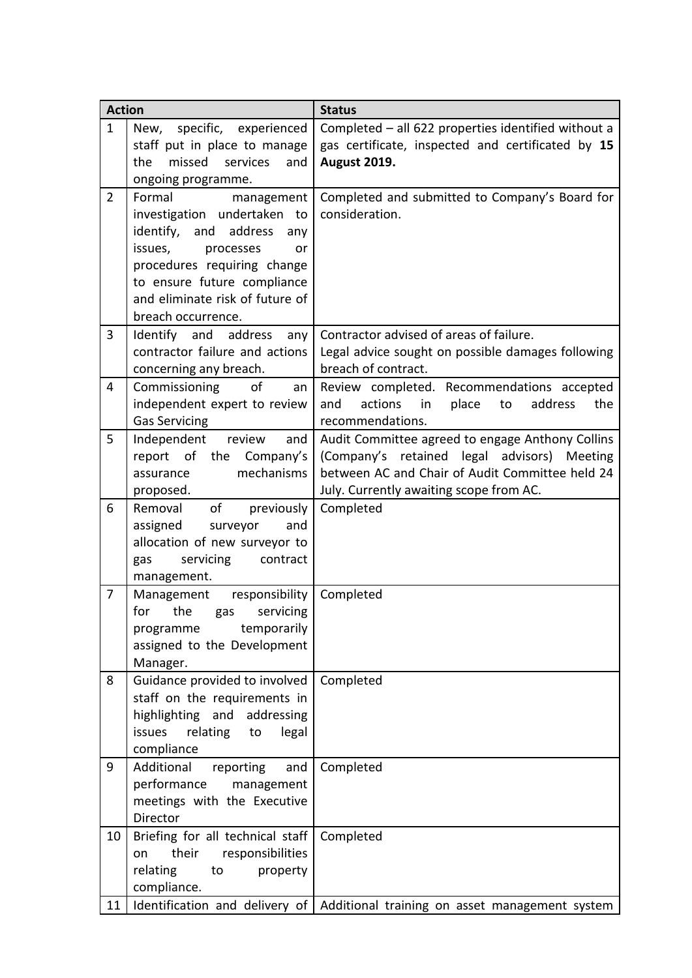| <b>Action</b>  |                                             | <b>Status</b>                                                                   |
|----------------|---------------------------------------------|---------------------------------------------------------------------------------|
| $\mathbf{1}$   | specific,<br>New,<br>experienced            | Completed - all 622 properties identified without a                             |
|                | staff put in place to manage                | gas certificate, inspected and certificated by 15                               |
|                | missed<br>the<br>services<br>and            | <b>August 2019.</b>                                                             |
|                | ongoing programme.                          |                                                                                 |
| $\overline{2}$ | Formal<br>management                        | Completed and submitted to Company's Board for                                  |
|                | investigation undertaken to                 | consideration.                                                                  |
|                | identify, and<br>address<br>any             |                                                                                 |
|                | issues,<br>processes<br><b>or</b>           |                                                                                 |
|                | procedures requiring change                 |                                                                                 |
|                | to ensure future compliance                 |                                                                                 |
|                | and eliminate risk of future of             |                                                                                 |
|                | breach occurrence.                          |                                                                                 |
| $\overline{3}$ | Identify and<br>address<br>any              | Contractor advised of areas of failure.                                         |
|                | contractor failure and actions              | Legal advice sought on possible damages following                               |
|                | concerning any breach.                      | breach of contract.                                                             |
| 4              | Commissioning<br>of<br>an                   | Review completed. Recommendations accepted                                      |
|                | independent expert to review                | actions<br>in<br>place<br>address<br>the<br>to<br>and                           |
|                | <b>Gas Servicing</b>                        | recommendations.                                                                |
| 5              | Independent<br>review<br>and                | Audit Committee agreed to engage Anthony Collins                                |
|                | report of the Company's                     | (Company's retained legal advisors)<br>Meeting                                  |
|                | mechanisms<br>assurance                     | between AC and Chair of Audit Committee held 24                                 |
|                | proposed.                                   | July. Currently awaiting scope from AC.                                         |
| 6              | of<br>Removal<br>previously                 | Completed                                                                       |
|                | surveyor<br>assigned<br>and                 |                                                                                 |
|                | allocation of new surveyor to               |                                                                                 |
|                | servicing<br>contract<br>gas                |                                                                                 |
| $\overline{7}$ | management.<br>Management<br>responsibility | Completed                                                                       |
|                | the<br>servicing<br>for                     |                                                                                 |
|                | gas<br>temporarily<br>programme             |                                                                                 |
|                | assigned to the Development                 |                                                                                 |
|                | Manager.                                    |                                                                                 |
| 8              | Guidance provided to involved               | Completed                                                                       |
|                | staff on the requirements in                |                                                                                 |
|                | highlighting and addressing                 |                                                                                 |
|                | relating<br>issues<br>legal<br>to           |                                                                                 |
|                | compliance                                  |                                                                                 |
| 9              | Additional<br>reporting<br>and              | Completed                                                                       |
|                | performance<br>management                   |                                                                                 |
|                | meetings with the Executive                 |                                                                                 |
|                | Director                                    |                                                                                 |
| 10             | Briefing for all technical staff            | Completed                                                                       |
|                | responsibilities<br>their<br>on             |                                                                                 |
|                | relating<br>to<br>property                  |                                                                                 |
|                | compliance.                                 |                                                                                 |
| 11             |                                             | Identification and delivery of   Additional training on asset management system |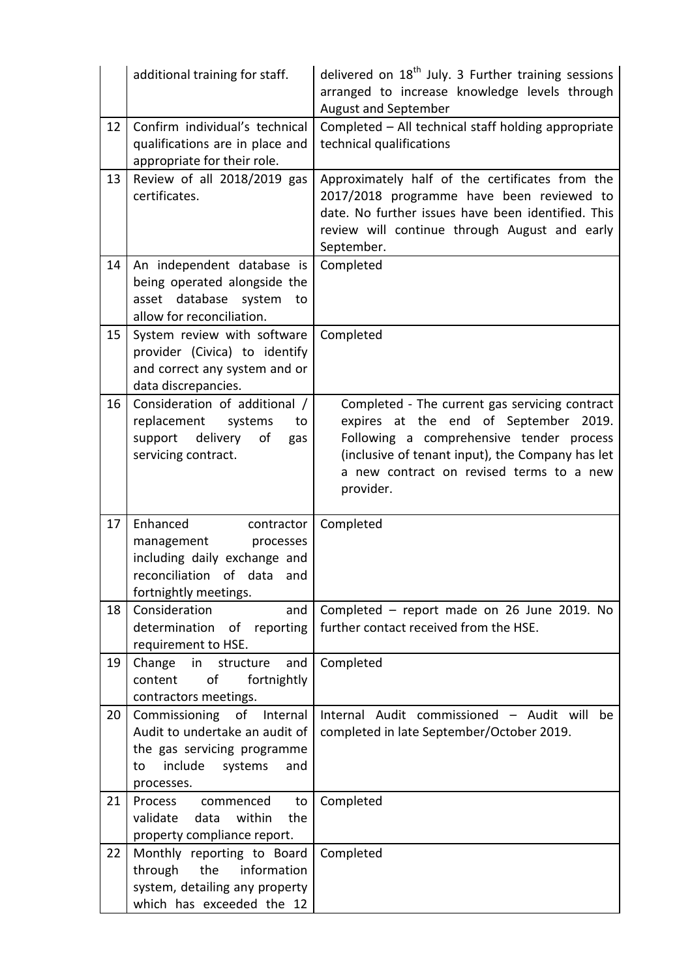|    | additional training for staff.                                                                                                              | delivered on $18th$ July. 3 Further training sessions<br>arranged to increase knowledge levels through<br>August and September                                                                                                                   |
|----|---------------------------------------------------------------------------------------------------------------------------------------------|--------------------------------------------------------------------------------------------------------------------------------------------------------------------------------------------------------------------------------------------------|
| 12 | Confirm individual's technical<br>qualifications are in place and<br>appropriate for their role.                                            | Completed - All technical staff holding appropriate<br>technical qualifications                                                                                                                                                                  |
| 13 | Review of all 2018/2019 gas<br>certificates.                                                                                                | Approximately half of the certificates from the<br>2017/2018 programme have been reviewed to<br>date. No further issues have been identified. This<br>review will continue through August and early<br>September.                                |
| 14 | An independent database is<br>being operated alongside the<br>asset<br>database<br>system<br>to<br>allow for reconciliation.                | Completed                                                                                                                                                                                                                                        |
| 15 | System review with software<br>provider (Civica) to identify<br>and correct any system and or<br>data discrepancies.                        | Completed                                                                                                                                                                                                                                        |
| 16 | Consideration of additional /<br>replacement<br>systems<br>to<br>delivery<br>of<br>support<br>gas<br>servicing contract.                    | Completed - The current gas servicing contract<br>expires at the end of September 2019.<br>Following a comprehensive tender process<br>(inclusive of tenant input), the Company has let<br>a new contract on revised terms to a new<br>provider. |
| 17 | Enhanced<br>contractor<br>management<br>processes<br>including daily exchange and<br>reconciliation of data and<br>fortnightly meetings.    | Completed                                                                                                                                                                                                                                        |
| 18 | Consideration<br>and<br>determination<br>of reporting<br>requirement to HSE.                                                                | Completed - report made on 26 June 2019. No<br>further contact received from the HSE.                                                                                                                                                            |
| 19 | Change<br>structure<br>and<br>in<br>of<br>fortnightly<br>content<br>contractors meetings.                                                   | Completed                                                                                                                                                                                                                                        |
| 20 | Commissioning of Internal<br>Audit to undertake an audit of<br>the gas servicing programme<br>include<br>systems<br>and<br>to<br>processes. | Internal Audit commissioned - Audit will<br>be<br>completed in late September/October 2019.                                                                                                                                                      |
| 21 | Process<br>commenced<br>to<br>within<br>validate<br>the<br>data<br>property compliance report.                                              | Completed                                                                                                                                                                                                                                        |
| 22 | Monthly reporting to Board<br>the<br>information<br>through<br>system, detailing any property<br>which has exceeded the 12                  | Completed                                                                                                                                                                                                                                        |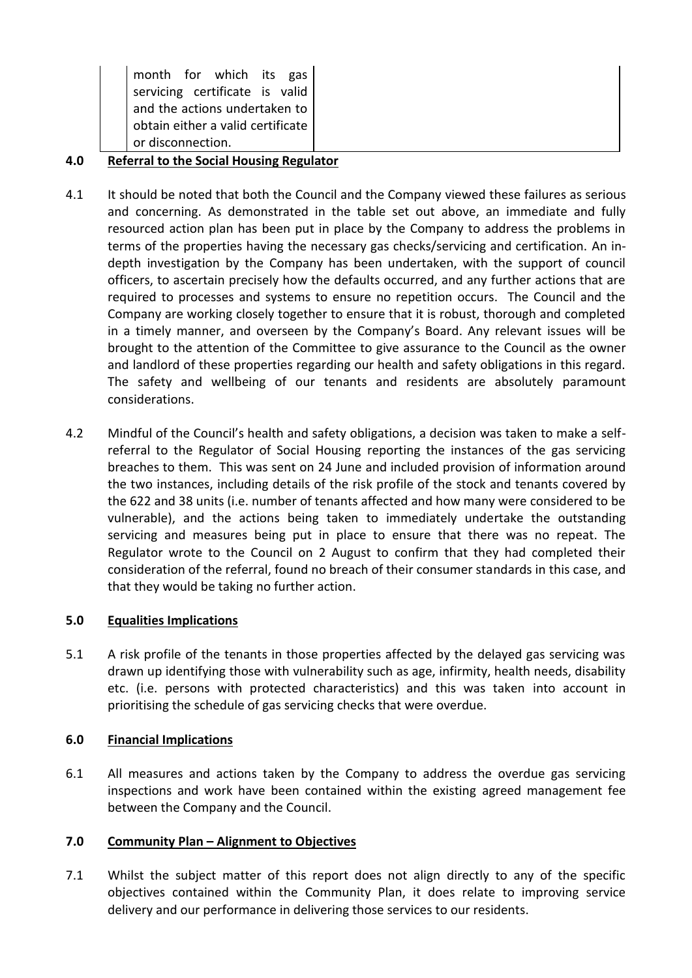| month for which its gas<br>servicing certificate is valid<br>and the actions undertaken to<br>obtain either a valid certificate |
|---------------------------------------------------------------------------------------------------------------------------------|
| or disconnection.                                                                                                               |

# **4.0 Referral to the Social Housing Regulator**

- 4.1 It should be noted that both the Council and the Company viewed these failures as serious and concerning. As demonstrated in the table set out above, an immediate and fully resourced action plan has been put in place by the Company to address the problems in terms of the properties having the necessary gas checks/servicing and certification. An indepth investigation by the Company has been undertaken, with the support of council officers, to ascertain precisely how the defaults occurred, and any further actions that are required to processes and systems to ensure no repetition occurs. The Council and the Company are working closely together to ensure that it is robust, thorough and completed in a timely manner, and overseen by the Company's Board. Any relevant issues will be brought to the attention of the Committee to give assurance to the Council as the owner and landlord of these properties regarding our health and safety obligations in this regard. The safety and wellbeing of our tenants and residents are absolutely paramount considerations.
- 4.2 Mindful of the Council's health and safety obligations, a decision was taken to make a selfreferral to the Regulator of Social Housing reporting the instances of the gas servicing breaches to them. This was sent on 24 June and included provision of information around the two instances, including details of the risk profile of the stock and tenants covered by the 622 and 38 units (i.e. number of tenants affected and how many were considered to be vulnerable), and the actions being taken to immediately undertake the outstanding servicing and measures being put in place to ensure that there was no repeat. The Regulator wrote to the Council on 2 August to confirm that they had completed their consideration of the referral, found no breach of their consumer standards in this case, and that they would be taking no further action.

# **5.0 Equalities Implications**

5.1 A risk profile of the tenants in those properties affected by the delayed gas servicing was drawn up identifying those with vulnerability such as age, infirmity, health needs, disability etc. (i.e. persons with protected characteristics) and this was taken into account in prioritising the schedule of gas servicing checks that were overdue.

# **6.0 Financial Implications**

6.1 All measures and actions taken by the Company to address the overdue gas servicing inspections and work have been contained within the existing agreed management fee between the Company and the Council.

# **7.0 Community Plan – Alignment to Objectives**

7.1 Whilst the subject matter of this report does not align directly to any of the specific objectives contained within the Community Plan, it does relate to improving service delivery and our performance in delivering those services to our residents.